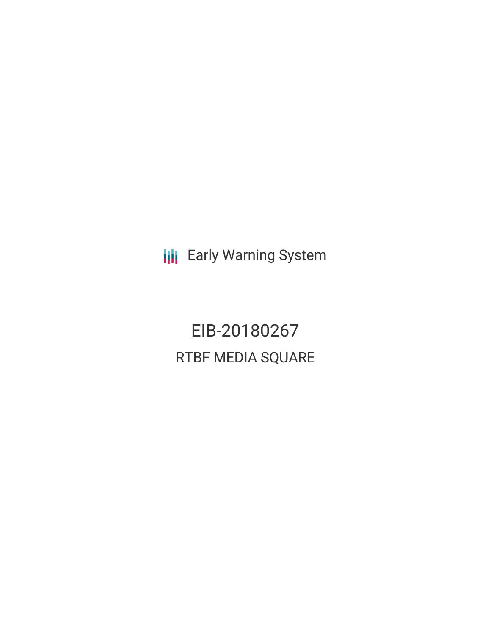**III** Early Warning System

EIB-20180267 RTBF MEDIA SQUARE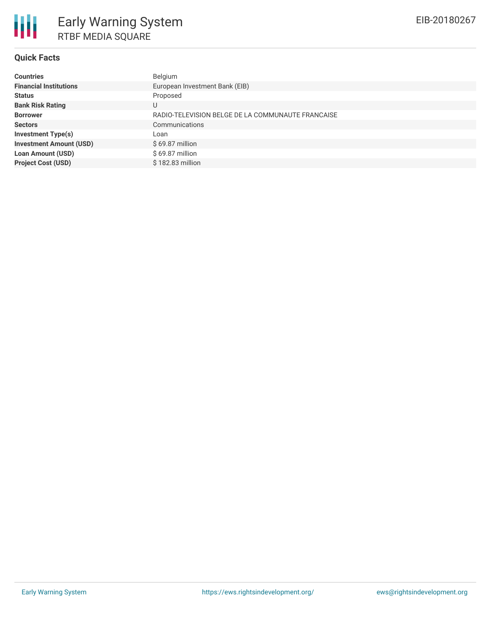### **Quick Facts**

| <b>Countries</b>               | Belgium                                           |
|--------------------------------|---------------------------------------------------|
| <b>Financial Institutions</b>  | European Investment Bank (EIB)                    |
| <b>Status</b>                  | Proposed                                          |
| <b>Bank Risk Rating</b>        |                                                   |
| <b>Borrower</b>                | RADIO-TELEVISION BELGE DE LA COMMUNAUTE FRANCAISE |
| <b>Sectors</b>                 | Communications                                    |
| <b>Investment Type(s)</b>      | Loan                                              |
| <b>Investment Amount (USD)</b> | $$69.87$ million                                  |
| <b>Loan Amount (USD)</b>       | $$69.87$ million                                  |
| <b>Project Cost (USD)</b>      | \$182.83 million                                  |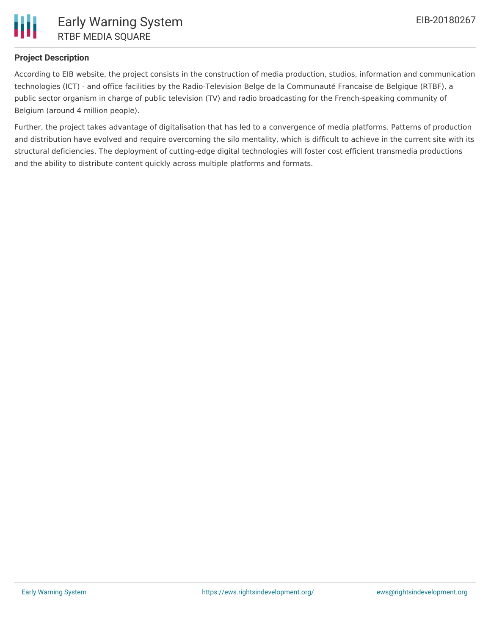

# **Project Description**

According to EIB website, the project consists in the construction of media production, studios, information and communication technologies (ICT) - and office facilities by the Radio-Television Belge de la Communauté Francaise de Belgique (RTBF), a public sector organism in charge of public television (TV) and radio broadcasting for the French-speaking community of Belgium (around 4 million people).

Further, the project takes advantage of digitalisation that has led to a convergence of media platforms. Patterns of production and distribution have evolved and require overcoming the silo mentality, which is difficult to achieve in the current site with its structural deficiencies. The deployment of cutting-edge digital technologies will foster cost efficient transmedia productions and the ability to distribute content quickly across multiple platforms and formats.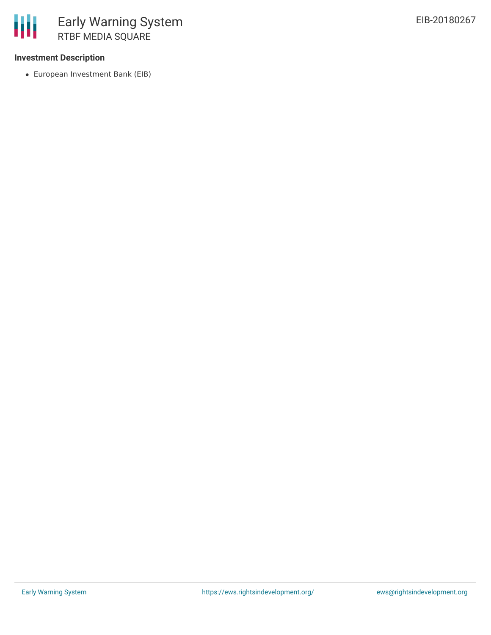### **Investment Description**

European Investment Bank (EIB)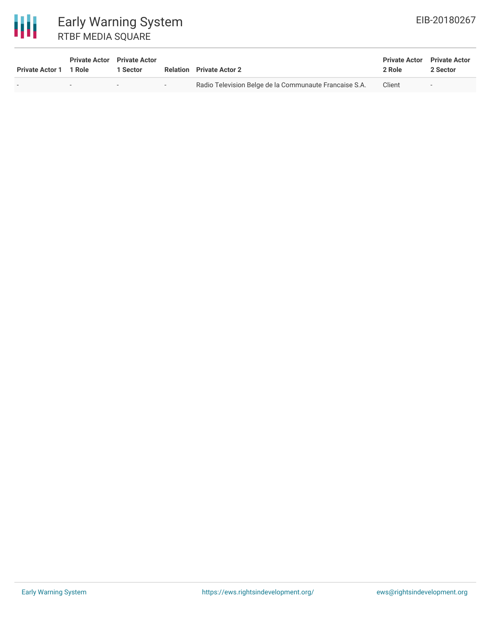

| Private Actor 1 1 Role | <b>Private Actor</b> Private Actor | 1 Sector |     | <b>Relation</b> Private Actor 2                        | <b>Private Actor</b> Private Actor<br>2 Role | 2 Sector                 |
|------------------------|------------------------------------|----------|-----|--------------------------------------------------------|----------------------------------------------|--------------------------|
|                        |                                    |          | $-$ | Radio Television Belge de la Communaute Francaise S.A. | Client                                       | $\overline{\phantom{a}}$ |